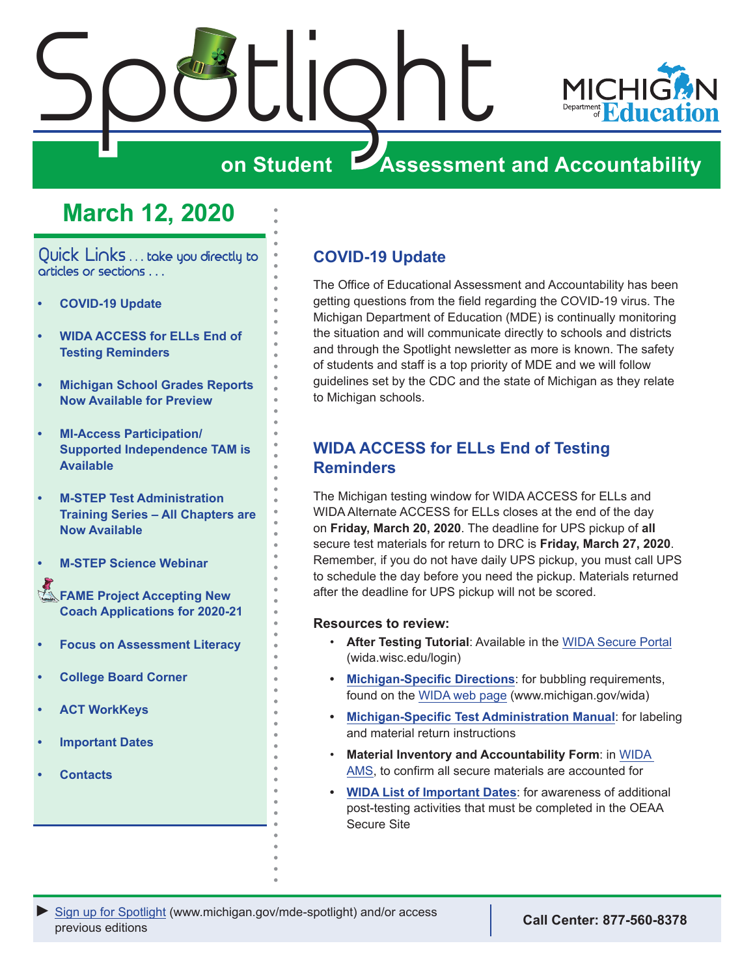<span id="page-0-0"></span>

# **March 12, 2020**

Quick Links . . . take you directly to articles or sections . . .

- **• COVID-19 Update**
- **• WIDA ACCESS for ELLs End of Testing Reminders**
- **• [Michigan School Grades Reports](#page-1-0)  [Now Available for Preview](#page-1-0)**
- **• [MI-Access Participation/](#page-1-0) [Supported Independence TAM is](#page-1-0)  [Available](#page-1-0)**
- **• [M-STEP Test Administration](#page-1-0)  [Training Series – All Chapters are](#page-1-0)  [Now Available](#page-1-0)**
- **• [M-STEP Science Webinar](#page-2-0)**
- Reminders **[FAME Project Accepting New](#page-2-0)  [Coach Applications for 2020-21](#page-2-0)**
- **• [Focus on Assessment Literacy](#page-3-0)**
- **• [College Board Corner](#page-4-0)**
- **• [ACT WorkKeys](#page-6-0)**
- **• [Important Dates](#page-8-0)**
- **• [Contacts](#page-9-0)**

### **COVID-19 Update**

The Office of Educational Assessment and Accountability has been getting questions from the field regarding the COVID-19 virus. The Michigan Department of Education (MDE) is continually monitoring the situation and will communicate directly to schools and districts and through the Spotlight newsletter as more is known. The safety of students and staff is a top priority of MDE and we will follow guidelines set by the CDC and the state of Michigan as they relate to Michigan schools.

### **WIDA ACCESS for ELLs End of Testing Reminders**

The Michigan testing window for WIDA ACCESS for ELLs and WIDA Alternate ACCESS for ELLs closes at the end of the day on **Friday, March 20, 2020**. The deadline for UPS pickup of **all**  secure test materials for return to DRC is **Friday, March 27, 2020**. Remember, if you do not have daily UPS pickup, you must call UPS to schedule the day before you need the pickup. Materials returned after the deadline for UPS pickup will not be scored.

#### **Resources to review:**

- **After Testing Tutorial**: Available in the [WIDA Secure Portal](https://wida.wisc.edu/login) (wida.wisc.edu/login)
- **• [Michigan-Specific Directions](https://wida.wisc.edu/sites/default/files/state-specific-directions/MI-State-Specific-Directions.pdf)**: for bubbling requirements, found on the [WIDA web page](www.michigan.gov/wida) (www.michigan.gov/wida)
- **• [Michigan-Specific Test Administration Manual](https://www.michigan.gov/documents/mde/WIDA_Michigan_Specific_TAM_635431_7.pdf)**: for labeling and material return instructions
- **Material Inventory and Accountability Form**: in [WIDA](https://www.drcedirect.com/all/eca-portal-ui/welcome/WIDA)  [AMS,](https://www.drcedirect.com/all/eca-portal-ui/welcome/WIDA) to confirm all secure materials are accounted for
- **• [WIDA List of Important Dates](https://www.michigan.gov/documents/mde/WIDA_List_of_Important_Dates_668875_7.pdf)**: for awareness of additional post-testing activities that must be completed in the OEAA Secure Site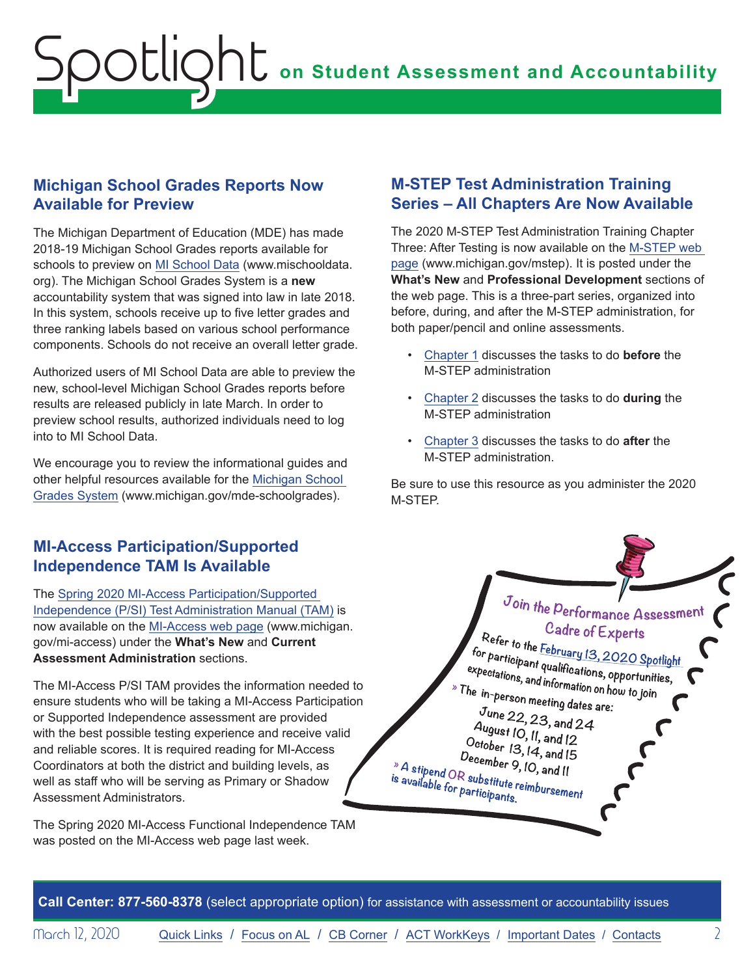### <span id="page-1-0"></span>**Michigan School Grades Reports Now Available for Preview**

The Michigan Department of Education (MDE) has made 2018-19 Michigan School Grades reports available for schools to preview on [MI School Data](http://www.mischooldata.org) (www.mischooldata. org). The Michigan School Grades System is a **new** accountability system that was signed into law in late 2018. In this system, schools receive up to five letter grades and three ranking labels based on various school performance components. Schools do not receive an overall letter grade.

Authorized users of MI School Data are able to preview the new, school-level Michigan School Grades reports before results are released publicly in late March. In order to preview school results, authorized individuals need to log into to MI School Data.

We encourage you to review the informational guides and other helpful resources available for the [Michigan School](http://www.michigan.gov/mde-schoolgrades)  [Grades System](http://www.michigan.gov/mde-schoolgrades) (www.michigan.gov/mde-schoolgrades).

### **MI-Access Participation/Supported Independence TAM Is Available**

The [Spring 2020 MI-Access Participation/Supported](https://www.michigan.gov/documents/mde/Participation_and_Supported_Independence_TAM_635414_7.pdf)  [Independence \(P/SI\) Test Administration Manual \(TAM\)](https://www.michigan.gov/documents/mde/Participation_and_Supported_Independence_TAM_635414_7.pdf) is now available on the [MI-Access web page](http://www.michigan.gov/mi-access) (www.michigan. gov/mi-access) under the **What's New** and **Current Assessment Administration** sections.

The MI-Access P/SI TAM provides the information needed to ensure students who will be taking a MI-Access Participation or Supported Independence assessment are provided with the best possible testing experience and receive valid and reliable scores. It is required reading for MI-Access Coordinators at both the district and building levels, as well as staff who will be serving as Primary or Shadow Assessment Administrators.

The Spring 2020 MI-Access Functional Independence TAM was posted on the MI-Access web page last week.

## **M-STEP Test Administration Training Series – All Chapters Are Now Available**

The 2020 M-STEP Test Administration Training Chapter Three: After Testing is now available on the [M-STEP web](www.michigan.gov/mstep)  [page](www.michigan.gov/mstep) (www.michigan.gov/mstep). It is posted under the **What's New** and **Professional Development** sections of the web page. This is a three-part series, organized into before, during, and after the M-STEP administration, for both paper/pencil and online assessments.

- [Chapter 1](https://www.youtube.com/watch?v=_BEdTyMENq4&feature=youtu.be) discusses the tasks to do **before** the M-STEP administration
- [Chapter 2](https://www.youtube.com/watch?v=gXMaM_lTfAA) discusses the tasks to do **during** the M-STEP administration
- [Chapter 3](https://youtu.be/33DzyKzmOgU) discusses the tasks to do **after** the M-STEP administration.

Be sure to use this resource as you administer the 2020 M-STEP.

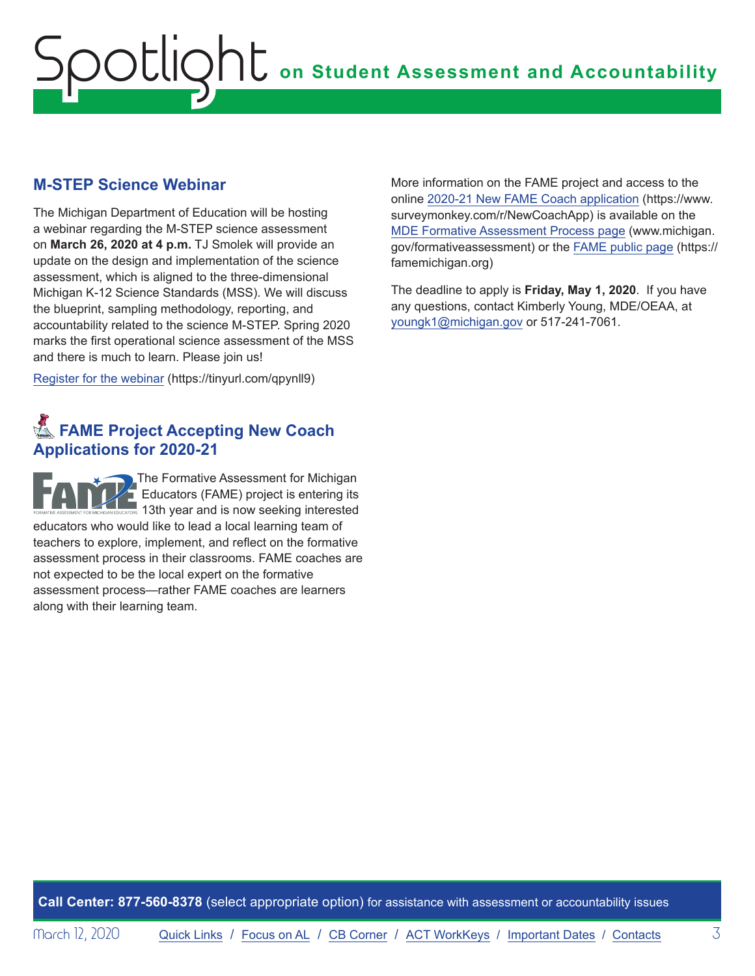### <span id="page-2-0"></span>**M-STEP Science Webinar**

The Michigan Department of Education will be hosting a webinar regarding the M-STEP science assessment on **March 26, 2020 at 4 p.m.** TJ Smolek will provide an update on the design and implementation of the science assessment, which is aligned to the three-dimensional Michigan K-12 Science Standards (MSS). We will discuss the blueprint, sampling methodology, reporting, and accountability related to the science M-STEP. Spring 2020 marks the first operational science assessment of the MSS and there is much to learn. Please join us!

[Register for the webinar](https://tinyurl.com/qpynll9) (https://tinyurl.com/qpynll9)

# **FAME Project Accepting New Coach Applications for 2020-21**

The Formative Assessment for Michigan Educators (FAME) project is entering its 13th year and is now seeking interested educators who would like to lead a local learning team of teachers to explore, implement, and reflect on the formative assessment process in their classrooms. FAME coaches are not expected to be the local expert on the formative assessment process—rather FAME coaches are learners along with their learning team.

More information on the FAME project and access to the online [2020-21 New FAME Coach application](https://www.surveymonkey.com/r/NewCoachApp) (https://www. surveymonkey.com/r/NewCoachApp) is available on the [MDE Formative Assessment Process page](http://www.michigan.gov/formativeassessment) (www.michigan. gov/formativeassessment) or the [FAME public page](https://famemichigan.org) (https:// famemichigan.org)

The deadline to apply is **Friday, May 1, 2020**. If you have any questions, contact Kimberly Young, MDE/OEAA, at [youngk1@michigan.gov](mailto:youngk1%40michigan.gov?subject=) or 517-241-7061.

**Call Center: 877-560-8378** (select appropriate option) for assistance with assessment or accountability issues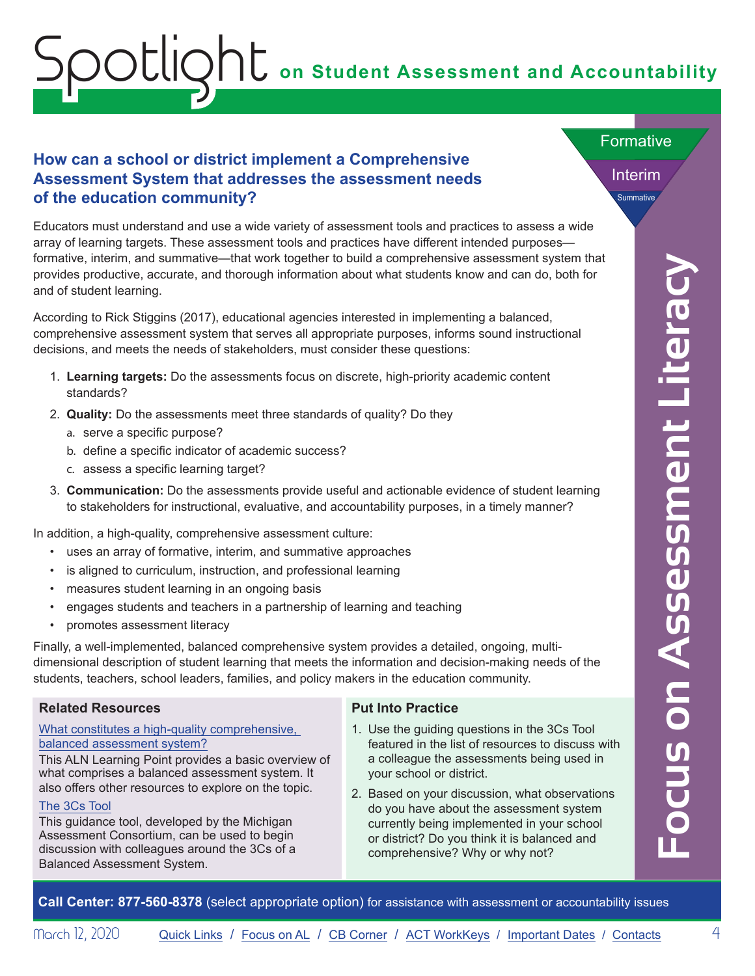## <span id="page-3-0"></span>**How can a school or district implement a Comprehensive Assessment System that addresses the assessment needs of the education community?**

Educators must understand and use a wide variety of assessment tools and practices to assess a wide array of learning targets. These assessment tools and practices have different intended purposes formative, interim, and summative—that work together to build a comprehensive assessment system that provides productive, accurate, and thorough information about what students know and can do, both for and of student learning.

According to Rick Stiggins (2017), educational agencies interested in implementing a balanced, comprehensive assessment system that serves all appropriate purposes, informs sound instructional decisions, and meets the needs of stakeholders, must consider these questions:

- 1. **Learning targets:** Do the assessments focus on discrete, high-priority academic content standards?
- 2. **Quality:** Do the assessments meet three standards of quality? Do they
	- a. serve a specific purpose?
	- b. define a specific indicator of academic success?
	- c. assess a specific learning target?
- 3. **Communication:** Do the assessments provide useful and actionable evidence of student learning to stakeholders for instructional, evaluative, and accountability purposes, in a timely manner?

In addition, a high-quality, comprehensive assessment culture:

- uses an array of formative, interim, and summative approaches
- is aligned to curriculum, instruction, and professional learning
- measures student learning in an ongoing basis
- engages students and teachers in a partnership of learning and teaching
- promotes assessment literacy

Finally, a well-implemented, balanced comprehensive system provides a detailed, ongoing, multidimensional description of student learning that meets the information and decision-making needs of the students, teachers, school leaders, families, and policy makers in the education community.

#### **Related Resources**

#### [What constitutes a high-quality comprehensive,](https://www.michiganassessmentconsortium.org/wp-content/uploads/3-Dec16-2016_Dec_ALN-LEARNING_POINT_BALANCED-2.pdf)  [balanced assessment system?](https://www.michiganassessmentconsortium.org/wp-content/uploads/3-Dec16-2016_Dec_ALN-LEARNING_POINT_BALANCED-2.pdf)

This ALN Learning Point provides a basic overview of what comprises a balanced assessment system. It also offers other resources to explore on the topic.

#### [The 3Cs Tool](https://www.michiganassessmentconsortium.org/wp-content/uploads/3Cs-Tool.pdf)

This guidance tool, developed by the Michigan Assessment Consortium, can be used to begin discussion with colleagues around the 3Cs of a Balanced Assessment System.

### **Put Into Practice**

- 1. Use the guiding questions in the 3Cs Tool featured in the list of resources to discuss with a colleague the assessments being used in your school or district.
- 2. Based on your discussion, what observations do you have about the assessment system currently being implemented in your school or district? Do you think it is balanced and comprehensive? Why or why not?

**Focus on Assessment Literacy** ocus on Assessment Litera

Interim

**Summative** 

**Formative**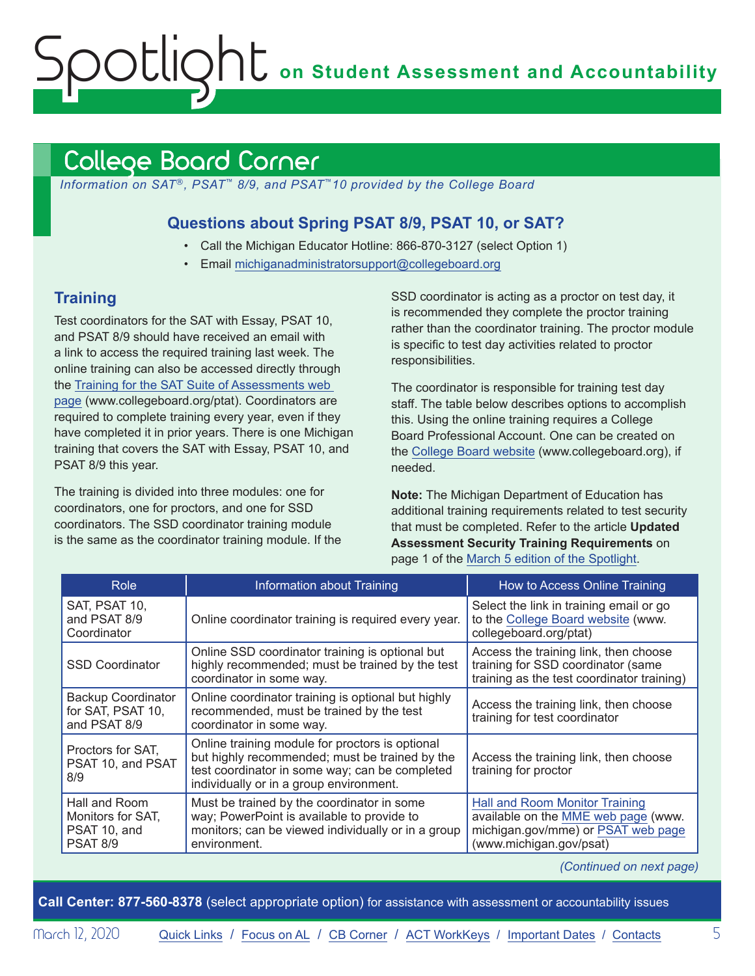# <span id="page-4-1"></span><span id="page-4-0"></span>College Board Corner

*Information on SAT*®*, PSAT*™ *8/9, and PSAT*™*10 provided by the College Board*

### **Questions about Spring PSAT 8/9, PSAT 10, or SAT?**

- Call the Michigan Educator Hotline: 866-870-3127 (select Option 1)
- Email [michiganadministratorsupport@collegeboard.org](mailto:michiganadministratorsupport%40collegeboard.org?subject=)

## **Training**

Test coordinators for the SAT with Essay, PSAT 10, and PSAT 8/9 should have received an email with a link to access the required training last week. The online training can also be accessed directly through the [Training for the SAT Suite of Assessments web](http://www.collegeboard.org/ptat)  [page](http://www.collegeboard.org/ptat) (www.collegeboard.org/ptat). Coordinators are required to complete training every year, even if they have completed it in prior years. There is one Michigan training that covers the SAT with Essay, PSAT 10, and PSAT 8/9 this year.

The training is divided into three modules: one for coordinators, one for proctors, and one for SSD coordinators. The SSD coordinator training module is the same as the coordinator training module. If the

SSD coordinator is acting as a proctor on test day, it is recommended they complete the proctor training rather than the coordinator training. The proctor module is specific to test day activities related to proctor responsibilities.

The coordinator is responsible for training test day staff. The table below describes options to accomplish this. Using the online training requires a College Board Professional Account. One can be created on the [College Board website](http://www.collegeboard.org) (www.collegeboard.org), if needed.

**Note:** The Michigan Department of Education has additional training requirements related to test security that must be completed. Refer to the article **Updated Assessment Security Training Requirements** on page 1 of the [March 5 edition of the Spotlight](https://www.michigan.gov/documents/mde/Spotlight_3-5-20_683044_7.pdf).

| Role                                                                  | <b>Information about Training</b>                                                                                                                                                              | How to Access Online Training                                                                                                          |
|-----------------------------------------------------------------------|------------------------------------------------------------------------------------------------------------------------------------------------------------------------------------------------|----------------------------------------------------------------------------------------------------------------------------------------|
| SAT, PSAT 10,<br>and PSAT 8/9<br>Coordinator                          | Online coordinator training is required every year.                                                                                                                                            | Select the link in training email or go<br>to the College Board website (www.<br>collegeboard.org/ptat)                                |
| <b>SSD Coordinator</b>                                                | Online SSD coordinator training is optional but<br>highly recommended; must be trained by the test<br>coordinator in some way.                                                                 | Access the training link, then choose<br>training for SSD coordinator (same<br>training as the test coordinator training)              |
| <b>Backup Coordinator</b><br>for SAT, PSAT 10,<br>and PSAT 8/9        | Online coordinator training is optional but highly<br>recommended, must be trained by the test<br>coordinator in some way.                                                                     | Access the training link, then choose<br>training for test coordinator                                                                 |
| Proctors for SAT,<br>PSAT 10, and PSAT<br>8/9                         | Online training module for proctors is optional<br>but highly recommended; must be trained by the<br>test coordinator in some way; can be completed<br>individually or in a group environment. | Access the training link, then choose<br>training for proctor                                                                          |
| Hall and Room<br>Monitors for SAT,<br>PSAT 10, and<br><b>PSAT 8/9</b> | Must be trained by the coordinator in some<br>way; PowerPoint is available to provide to<br>monitors; can be viewed individually or in a group<br>environment.                                 | Hall and Room Monitor Training<br>available on the MME web page (www.<br>michigan.gov/mme) or PSAT web page<br>(www.michigan.gov/psat) |

*(Continued on next page)*

**Call Center: 877-560-8378** (select appropriate option) for assistance with assessment or accountability issues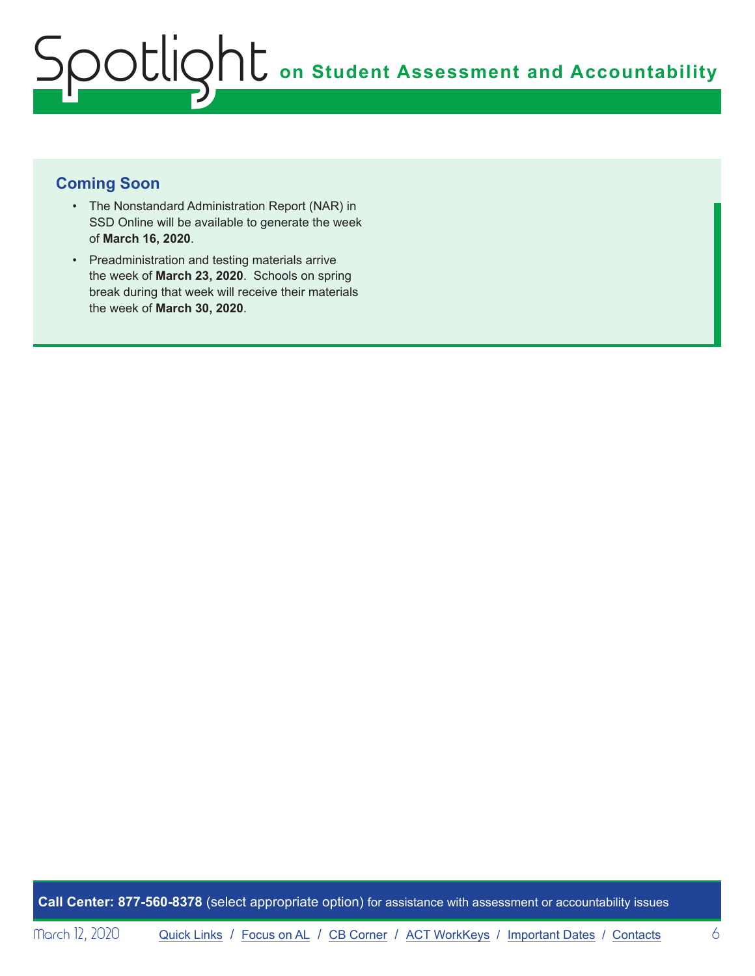## **Coming Soon**

- The Nonstandard Administration Report (NAR) in SSD Online will be available to generate the week of **March 16, 2020**.
- Preadministration and testing materials arrive the week of **March 23, 2020**. Schools on spring break during that week will receive their materials the week of **March 30, 2020**.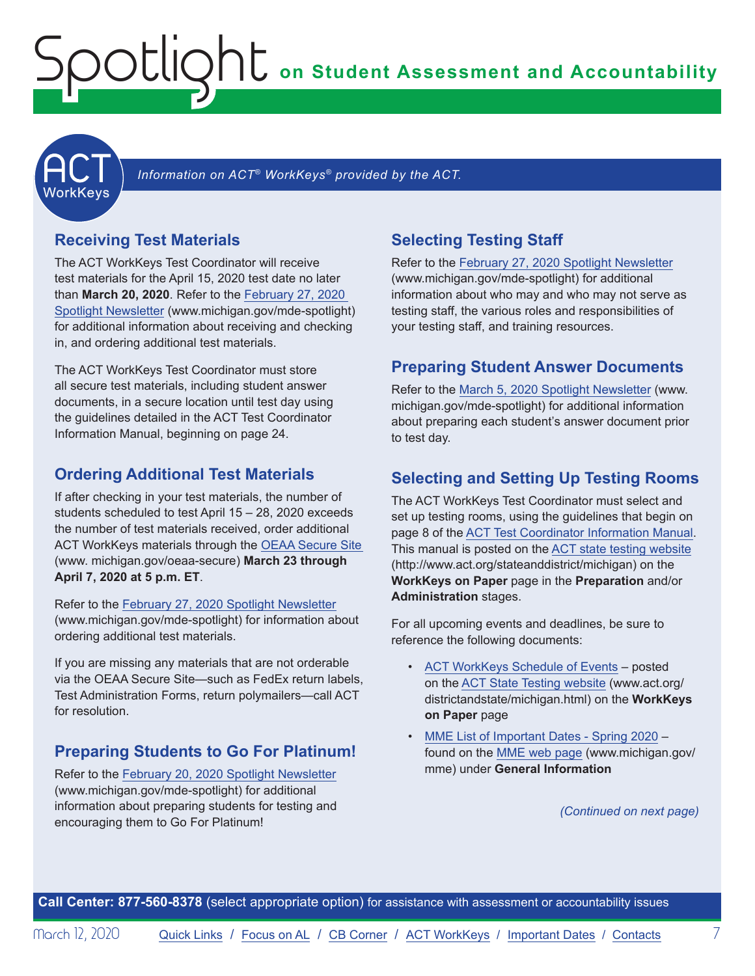<span id="page-6-1"></span><span id="page-6-0"></span>

Information on ACT<sup>®</sup> WorkKeys<sup>®</sup> provided by the ACT.

## **Receiving Test Materials**

The ACT WorkKeys Test Coordinator will receive test materials for the April 15, 2020 test date no later than **March 20, 2020**. Refer to the [February 27, 2020](https://www.michigan.gov/documents/mde/Spotlight_2-27-20_682276_7.pdf)  [Spotlight Newsletter](https://www.michigan.gov/documents/mde/Spotlight_2-27-20_682276_7.pdf) (www.michigan.gov/mde-spotlight) for additional information about receiving and checking in, and ordering additional test materials.

The ACT WorkKeys Test Coordinator must store all secure test materials, including student answer documents, in a secure location until test day using the guidelines detailed in the ACT Test Coordinator Information Manual, beginning on page 24.

### **Ordering Additional Test Materials**

If after checking in your test materials, the number of students scheduled to test April 15 – 28, 2020 exceeds the number of test materials received, order additional ACT WorkKeys materials through the [OEAA Secure Site](http://www.michigan.gov/oeaa-secure)  (www. michigan.gov/oeaa-secure) **March 23 through April 7, 2020 at 5 p.m. ET**.

Refer to the [February 27, 2020 Spotlight Newsletter](https://www.michigan.gov/documents/mde/Spotlight_2-27-20_682276_7.pdf) (www.michigan.gov/mde-spotlight) for information about ordering additional test materials.

If you are missing any materials that are not orderable via the OEAA Secure Site—such as FedEx return labels, Test Administration Forms, return polymailers—call ACT for resolution.

## **Preparing Students to Go For Platinum!**

Refer to the [February 20, 2020 Spotlight Newsletter](https://www.michigan.gov/documents/mde/Spotlight_2-20-20_681693_7.pdf) (www.michigan.gov/mde-spotlight) for additional information about preparing students for testing and encouraging them to Go For Platinum!

## **Selecting Testing Staff**

Refer to the [February 27, 2020 Spotlight Newsletter](https://www.michigan.gov/documents/mde/Spotlight_2-27-20_682276_7.pdf)  (www.michigan.gov/mde-spotlight) for additional information about who may and who may not serve as testing staff, the various roles and responsibilities of your testing staff, and training resources.

### **Preparing Student Answer Documents**

Refer to the [March 5, 2020 Spotlight Newsletter](https://www.michigan.gov/documents/mde/Spotlight_3-5-20_683044_7.pdf) (www. michigan.gov/mde-spotlight) for additional information about preparing each student's answer document prior to test day.

## **Selecting and Setting Up Testing Rooms**

The ACT WorkKeys Test Coordinator must select and set up testing rooms, using the guidelines that begin on page 8 of the [ACT Test Coordinator Information Manual](https://www.act.org/content/dam/act/secured/documents/pdfs/state-district-test-coordinator-paper-test.pdf). This manual is posted on the [ACT state testing website](http://www.act.org/stateanddistrict/michigan) (http://www.act.org/stateanddistrict/michigan) on the **WorkKeys on Paper** page in the **Preparation** and/or **Administration** stages.

For all upcoming events and deadlines, be sure to reference the following documents:

- [ACT WorkKeys Schedule of Events](http://www.act.org/content/dam/act/unsecured/documents/ScheduleofEventsWorkKeys-MI.pdf) posted on the [ACT State Testing website](http://www.act.org/content/act/en/products-and-services/state-and-district-solutions/michigan.html) (www.act.org/ districtandstate/michigan.html) on the **WorkKeys on Paper** page
- [MME List of Important Dates Spring 2020](https://www.michigan.gov/documents/mde/MME_List_of_Important_Dates_668755_7.pdf) found on the [MME web page](www.michigan.gov/mme) (www.michigan.gov/ mme) under **General Information**

*(Continued on next page)*

**Call Center: 877-560-8378** (select appropriate option) for assistance with assessment or accountability issues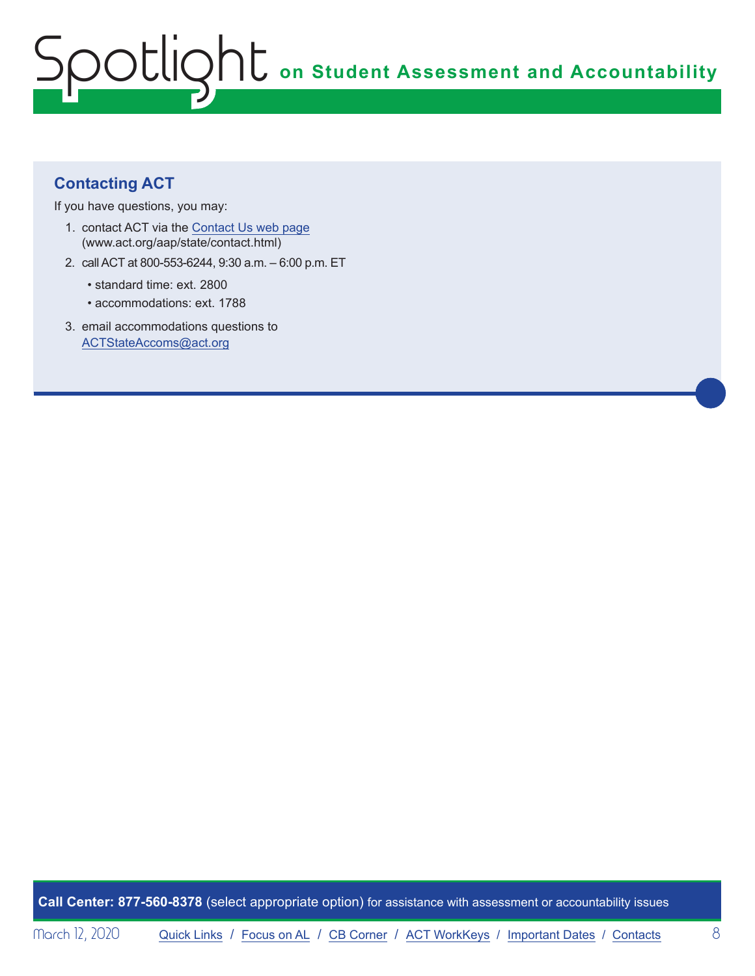## **Contacting ACT**

If you have questions, you may:

- 1. contact ACT via the [Contact Us web page](http://www.act.org/aap/state/contact.html) ([www.act.org/aap/state/contact.html\)](https://www.act.org/aap/state/contact.html)
- 2. call ACT at 800-553-6244, 9:30 a.m. 6:00 p.m. ET
	- standard time: ext. 2800
	- accommodations: ext. 1788
- 3. email accommodations questions to [ACTStateAccoms@act.org](mailto:ACTStateAccoms%40act.org?subject=)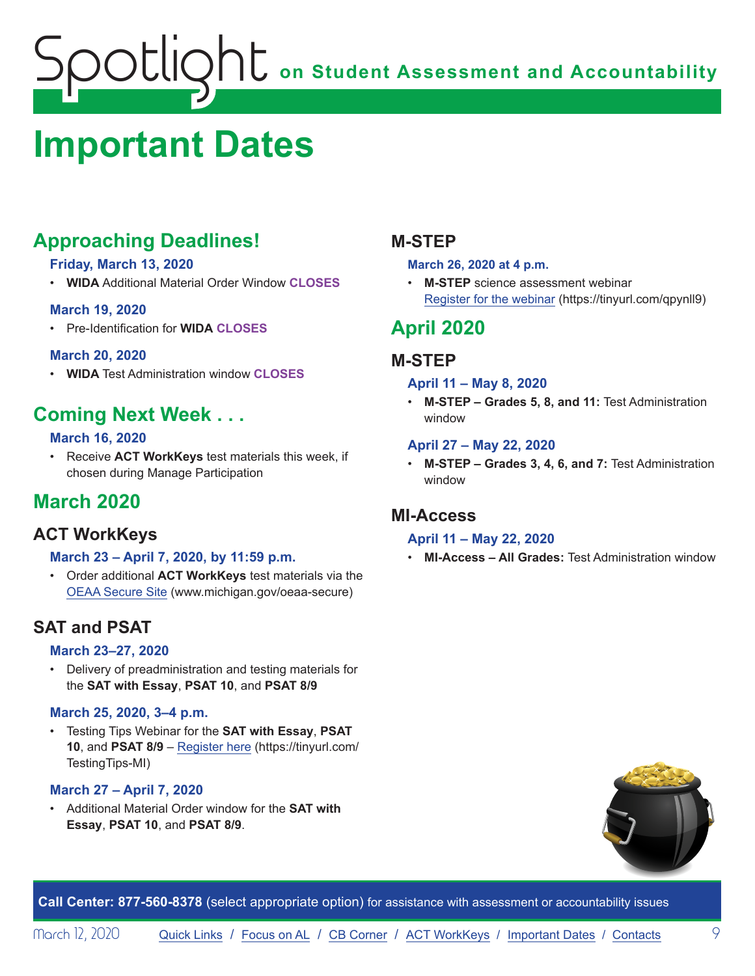# <span id="page-8-1"></span><span id="page-8-0"></span>**Important Dates**

# **Approaching Deadlines!**

### **Friday, March 13, 2020**

• **WIDA** Additional Material Order Window **CLOSES**

### **March 19, 2020**

• Pre-Identification for **WIDA CLOSES**

### **March 20, 2020**

• **WIDA** Test Administration window **CLOSES**

# **Coming Next Week . . .**

### **March 16, 2020**

• Receive **ACT WorkKeys** test materials this week, if chosen during Manage Participation

# **March 2020**

## **ACT WorkKeys**

### **March 23 – April 7, 2020, by 11:59 p.m.**

• Order additional **ACT WorkKeys** test materials via the [OEAA Secure Site](http://www.michigan.gov/oeaa-secure) (www.michigan.gov/oeaa-secure)

# **SAT and PSAT**

### **March 23–27, 2020**

• Delivery of preadministration and testing materials for the **SAT with Essay**, **PSAT 10**, and **PSAT 8/9**

### **March 25, 2020, 3–4 p.m.**

• Testing Tips Webinar for the **SAT with Essay**, **PSAT 10**, and **PSAT 8/9** – [Register here](https://tinyurl.com/TestingTips-MI) (https://tinyurl.com/ TestingTips-MI)

### **March 27 – April 7, 2020**

• Additional Material Order window for the **SAT with Essay**, **PSAT 10**, and **PSAT 8/9**.

## **M-STEP**

#### **March 26, 2020 at 4 p.m.**

• **M-STEP** science assessment webinar [Register for the webinar](https://tinyurl.com/qpynll9) (https://tinyurl.com/qpynll9)

# **April 2020**

## **M-STEP**

### **April 11 – May 8, 2020**

• **M-STEP – Grades 5, 8, and 11:** Test Administration window

### **April 27 – May 22, 2020**

• **M-STEP – Grades 3, 4, 6, and 7:** Test Administration window

## **MI-Access**

### **April 11 – May 22, 2020**

• **MI-Access – All Grades:** Test Administration window